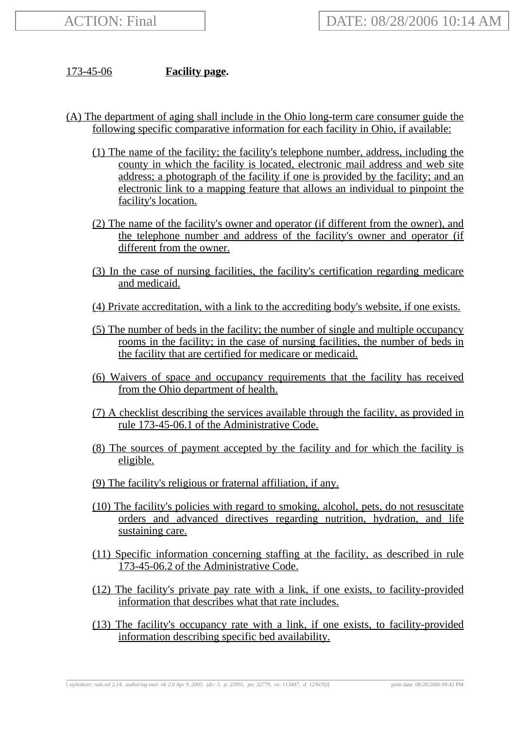173-45-06 **Facility page.**

- (A) The department of aging shall include in the Ohio long-term care consumer guide the following specific comparative information for each facility in Ohio, if available:
	- (1) The name of the facility; the facility's telephone number, address, including the county in which the facility is located, electronic mail address and web site address; a photograph of the facility if one is provided by the facility; and an electronic link to a mapping feature that allows an individual to pinpoint the facility's location.
	- (2) The name of the facility's owner and operator (if different from the owner), and the telephone number and address of the facility's owner and operator (if different from the owner.
	- (3) In the case of nursing facilities, the facility's certification regarding medicare and medicaid.
	- (4) Private accreditation, with a link to the accrediting body's website, if one exists.
	- (5) The number of beds in the facility; the number of single and multiple occupancy rooms in the facility; in the case of nursing facilities, the number of beds in the facility that are certified for medicare or medicaid.
	- (6) Waivers of space and occupancy requirements that the facility has received from the Ohio department of health.
	- (7) A checklist describing the services available through the facility, as provided in rule 173-45-06.1 of the Administrative Code.
	- (8) The sources of payment accepted by the facility and for which the facility is eligible.
	- (9) The facility's religious or fraternal affiliation, if any.
	- (10) The facility's policies with regard to smoking, alcohol, pets, do not resuscitate orders and advanced directives regarding nutrition, hydration, and life sustaining care.
	- (11) Specific information concerning staffing at the facility, as described in rule 173-45-06.2 of the Administrative Code.
	- (12) The facility's private pay rate with a link, if one exists, to facility-provided information that describes what that rate includes.
	- (13) The facility's occupancy rate with a link, if one exists, to facility-provided information describing specific bed availability.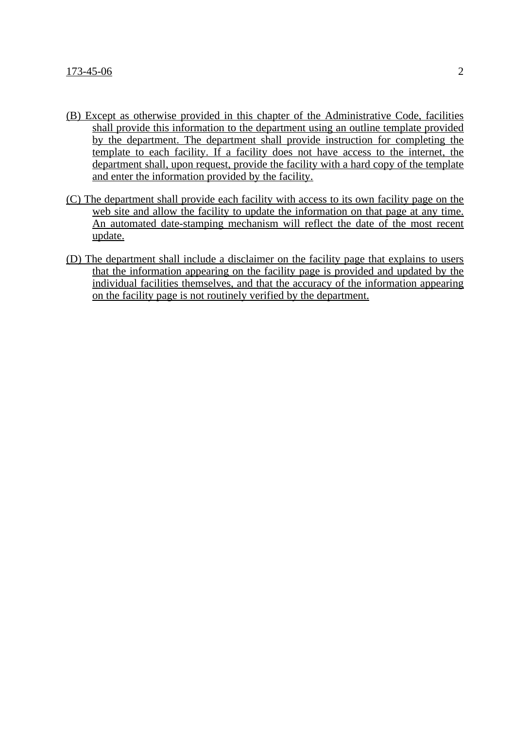- (B) Except as otherwise provided in this chapter of the Administrative Code, facilities shall provide this information to the department using an outline template provided by the department. The department shall provide instruction for completing the template to each facility. If a facility does not have access to the internet, the department shall, upon request, provide the facility with a hard copy of the template and enter the information provided by the facility.
- (C) The department shall provide each facility with access to its own facility page on the web site and allow the facility to update the information on that page at any time. An automated date-stamping mechanism will reflect the date of the most recent update.
- (D) The department shall include a disclaimer on the facility page that explains to users that the information appearing on the facility page is provided and updated by the individual facilities themselves, and that the accuracy of the information appearing on the facility page is not routinely verified by the department.